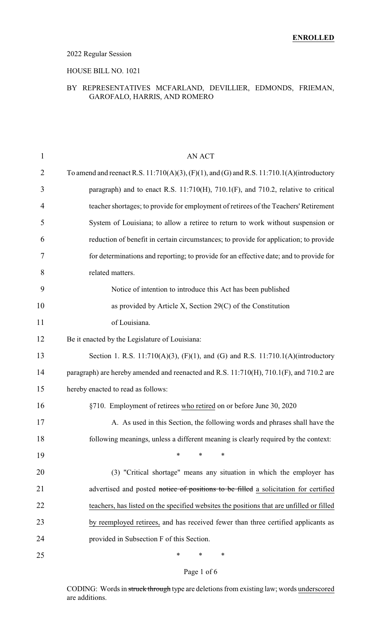## 2022 Regular Session

## HOUSE BILL NO. 1021

## BY REPRESENTATIVES MCFARLAND, DEVILLIER, EDMONDS, FRIEMAN, GAROFALO, HARRIS, AND ROMERO

| $\mathbf{1}$   | <b>AN ACT</b>                                                                                        |
|----------------|------------------------------------------------------------------------------------------------------|
| $\overline{2}$ | To amend and reenact R.S. $11:710(A)(3)$ , $(F)(1)$ , and $(G)$ and R.S. $11:710.1(A)$ (introductory |
| 3              | paragraph) and to enact R.S. 11:710(H), 710.1(F), and 710.2, relative to critical                    |
| 4              | teacher shortages; to provide for employment of retirees of the Teachers' Retirement                 |
| 5              | System of Louisiana; to allow a retiree to return to work without suspension or                      |
| 6              | reduction of benefit in certain circumstances; to provide for application; to provide                |
| 7              | for determinations and reporting; to provide for an effective date; and to provide for               |
| 8              | related matters.                                                                                     |
| 9              | Notice of intention to introduce this Act has been published                                         |
| 10             | as provided by Article X, Section $29(C)$ of the Constitution                                        |
| 11             | of Louisiana.                                                                                        |
| 12             | Be it enacted by the Legislature of Louisiana:                                                       |
| 13             | Section 1. R.S. 11:710(A)(3), (F)(1), and (G) and R.S. 11:710.1(A)(introductory                      |
| 14             | paragraph) are hereby amended and reenacted and R.S. 11:710(H), 710.1(F), and 710.2 are              |
| 15             | hereby enacted to read as follows:                                                                   |
| 16             | §710. Employment of retirees who retired on or before June 30, 2020                                  |
| 17             | A. As used in this Section, the following words and phrases shall have the                           |
| 18             | following meanings, unless a different meaning is clearly required by the context:                   |
| 19             | $\ast$<br>∗<br>∗                                                                                     |
| 20             | (3) "Critical shortage" means any situation in which the employer has                                |
| 21             | advertised and posted notice of positions to be filled a solicitation for certified                  |
| 22             | teachers, has listed on the specified websites the positions that are unfilled or filled             |
| 23             | by reemployed retirees, and has received fewer than three certified applicants as                    |
| 24             | provided in Subsection F of this Section.                                                            |
| 25             | *<br>∗<br>∗                                                                                          |

### Page 1 of 6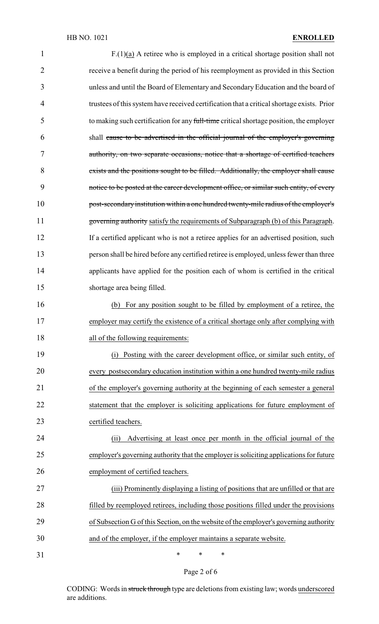| $\mathbf{1}$   | $F(1)(a)$ A retiree who is employed in a critical shortage position shall not              |
|----------------|--------------------------------------------------------------------------------------------|
| $\overline{2}$ | receive a benefit during the period of his reemployment as provided in this Section        |
| 3              | unless and until the Board of Elementary and Secondary Education and the board of          |
| 4              | trustees of this system have received certification that a critical shortage exists. Prior |
| 5              | to making such certification for any full-time critical shortage position, the employer    |
| 6              | shall cause to be advertised in the official journal of the employer's governing           |
| 7              | authority, on two separate occasions, notice that a shortage of certified teachers         |
| 8              | exists and the positions sought to be filled. Additionally, the employer shall cause       |
| 9              | notice to be posted at the career development office, or similar such entity, of every     |
| 10             | post-secondary institution within a one hundred twenty-mile radius of the employer's       |
| 11             | governing authority satisfy the requirements of Subparagraph (b) of this Paragraph.        |
| 12             | If a certified applicant who is not a retiree applies for an advertised position, such     |
| 13             | person shall be hired before any certified retiree is employed, unless fewer than three    |
| 14             | applicants have applied for the position each of whom is certified in the critical         |
| 15             | shortage area being filled.                                                                |
| 16             | For any position sought to be filled by employment of a retiree, the<br>(b)                |
| 17             | employer may certify the existence of a critical shortage only after complying with        |
| 18             | all of the following requirements:                                                         |
| 19             | Posting with the career development office, or similar such entity, of<br>(i)              |
| 20             | every postsecondary education institution within a one hundred twenty-mile radius          |
| 21             | of the employer's governing authority at the beginning of each semester a general          |
| 22             | statement that the employer is soliciting applications for future employment of            |
| 23             | certified teachers.                                                                        |
| 24             | Advertising at least once per month in the official journal of the<br>(ii)                 |
| 25             | employer's governing authority that the employer is soliciting applications for future     |
| 26             | employment of certified teachers.                                                          |
| 27             | (iii) Prominently displaying a listing of positions that are unfilled or that are          |
| 28             | filled by reemployed retirees, including those positions filled under the provisions       |
| 29             | of Subsection G of this Section, on the website of the employer's governing authority      |
| 30             | and of the employer, if the employer maintains a separate website.                         |
| 31             | $\ast$<br>∗<br>∗                                                                           |

Page 2 of 6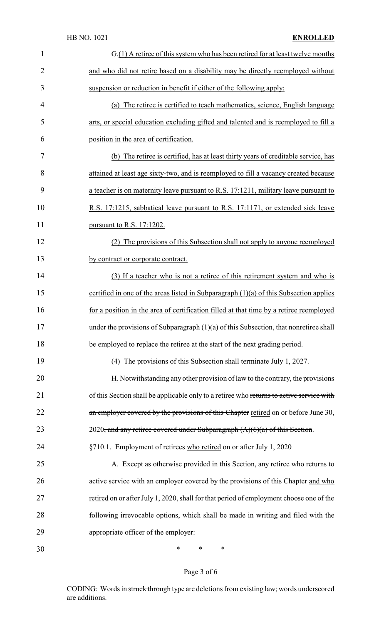# HB NO. 1021 **ENROLLED**

| $\mathbf{1}$   | G.(1) A retiree of this system who has been retired for at least twelve months                       |
|----------------|------------------------------------------------------------------------------------------------------|
| $\overline{2}$ | and who did not retire based on a disability may be directly reemployed without                      |
| 3              | suspension or reduction in benefit if either of the following apply:                                 |
| 4              | (a) The retiree is certified to teach mathematics, science, English language                         |
| 5              | arts, or special education excluding gifted and talented and is reemployed to fill a                 |
| 6              | position in the area of certification.                                                               |
| 7              | (b) The retiree is certified, has at least thirty years of creditable service, has                   |
| 8              | attained at least age sixty-two, and is reemployed to fill a vacancy created because                 |
| 9              | a teacher is on maternity leave pursuant to R.S. 17:1211, military leave pursuant to                 |
| 10             | R.S. 17:1215, sabbatical leave pursuant to R.S. 17:1171, or extended sick leave                      |
| 11             | pursuant to R.S. 17:1202.                                                                            |
| 12             | (2) The provisions of this Subsection shall not apply to anyone reemployed                           |
| 13             | by contract or corporate contract.                                                                   |
| 14             | (3) If a teacher who is not a retiree of this retirement system and who is                           |
| 15             | certified in one of the areas listed in Subparagraph $(1)(a)$ of this Subsection applies             |
| 16             | for a position in the area of certification filled at that time by a retiree reemployed              |
| 17             | under the provisions of Subparagraph $(1)(a)$ of this Subsection, that nonretiree shall              |
| 18             | be employed to replace the retiree at the start of the next grading period.                          |
| 19             | (4) The provisions of this Subsection shall terminate July 1, 2027.                                  |
| 20             | H. Notwithstanding any other provision of law to the contrary, the provisions                        |
| 21             | of this Section shall be applicable only to a retiree who returns to active service with             |
| 22             | an employer covered by the provisions of this Chapter retired on or before June 30,                  |
| 23             | 2020 <del>, and any retiree covered under Subparagraph <math>(A)(6)(a)</math> of this Section.</del> |
| 24             | §710.1. Employment of retirees who retired on or after July 1, 2020                                  |
| 25             | A. Except as otherwise provided in this Section, any retiree who returns to                          |
| 26             | active service with an employer covered by the provisions of this Chapter and who                    |
| 27             | retired on or after July 1, 2020, shall for that period of employment choose one of the              |
| 28             | following irrevocable options, which shall be made in writing and filed with the                     |
| 29             | appropriate officer of the employer:                                                                 |
| 30             | *<br>∗<br>∗                                                                                          |

# Page 3 of 6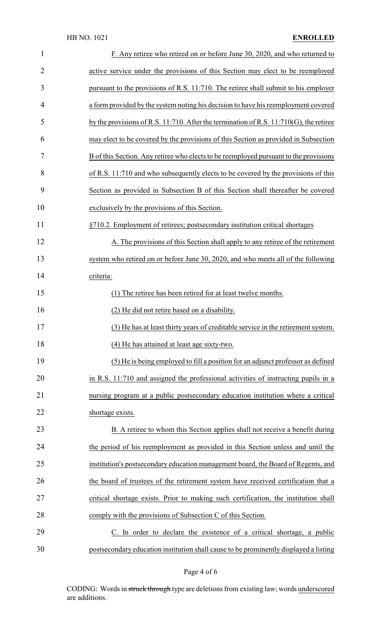## HB NO. 1021 **ENROLLED**

| $\mathbf{1}$   | F. Any retiree who retired on or before June 30, 2020, and who returned to                |
|----------------|-------------------------------------------------------------------------------------------|
| $\overline{2}$ | active service under the provisions of this Section may elect to be reemployed            |
| 3              | pursuant to the provisions of R.S. 11:710. The retiree shall submit to his employer       |
| 4              | a form provided by the system noting his decision to have his reemployment covered        |
| 5              | by the provisions of R.S. 11:710. After the termination of R.S. $11:710(G)$ , the retiree |
| 6              | may elect to be covered by the provisions of this Section as provided in Subsection       |
| 7              | B of this Section. Any retiree who elects to be reemployed pursuant to the provisions     |
| 8              | of R.S. 11:710 and who subsequently elects to be covered by the provisions of this        |
| 9              | Section as provided in Subsection B of this Section shall thereafter be covered           |
| 10             | exclusively by the provisions of this Section.                                            |
| 11             | §710.2. Employment of retirees; postsecondary institution critical shortages              |
| 12             | A. The provisions of this Section shall apply to any retiree of the retirement            |
| 13             | system who retired on or before June 30, 2020, and who meets all of the following         |
| 14             | criteria:                                                                                 |
| 15             | (1) The retiree has been retired for at least twelve months.                              |
| 16             | (2) He did not retire based on a disability.                                              |
| 17             | (3) He has at least thirty years of creditable service in the retirement system.          |
| 18             | (4) He has attained at least age sixty-two.                                               |
| 19             | (5) He is being employed to fill a position for an adjunct professor as defined           |
| 20             | in R.S. 11:710 and assigned the professional activities of instructing pupils in a        |
| 21             | nursing program at a public postsecondary education institution where a critical          |
| 22             | shortage exists.                                                                          |
| 23             | B. A retiree to whom this Section applies shall not receive a benefit during              |
| 24             | the period of his reemployment as provided in this Section unless and until the           |
| 25             | institution's postsecondary education management board, the Board of Regents, and         |
| 26             | the board of trustees of the retirement system have received certification that a         |
| 27             | critical shortage exists. Prior to making such certification, the institution shall       |
| 28             | comply with the provisions of Subsection C of this Section.                               |
| 29             | C. In order to declare the existence of a critical shortage, a public                     |
| 30             | postsecondary education institution shall cause to be prominently displayed a listing     |

# Page 4 of 6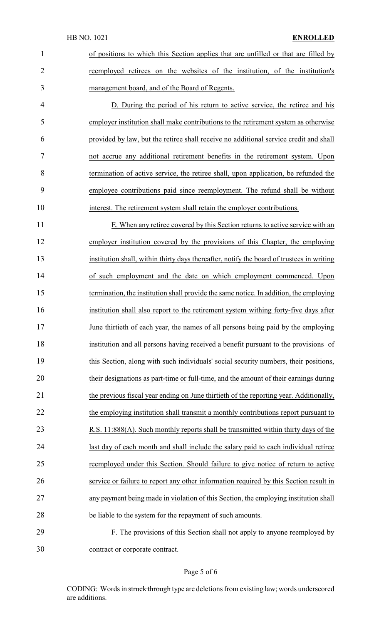| of positions to which this Section applies that are unfilled or that are filled by |  |  |  |  |
|------------------------------------------------------------------------------------|--|--|--|--|
| reemployed retirees on the websites of the institution, of the institution's       |  |  |  |  |
| management board, and of the Board of Regents.                                     |  |  |  |  |

 D. During the period of his return to active service, the retiree and his employer institution shall make contributions to the retirement system as otherwise provided by law, but the retiree shall receive no additional service credit and shall not accrue any additional retirement benefits in the retirement system. Upon termination of active service, the retiree shall, upon application, be refunded the employee contributions paid since reemployment. The refund shall be without interest. The retirement system shall retain the employer contributions.

 E. When any retiree covered by this Section returns to active service with an employer institution covered by the provisions of this Chapter, the employing institution shall, within thirty days thereafter, notify the board of trustees in writing of such employment and the date on which employment commenced. Upon termination, the institution shall provide the same notice. In addition, the employing institution shall also report to the retirement system withing forty-five days after June thirtieth of each year, the names of all persons being paid by the employing institution and all persons having received a benefit pursuant to the provisions of this Section, along with such individuals' social security numbers, their positions, their designations as part-time or full-time, and the amount of their earnings during 21 the previous fiscal year ending on June thirtieth of the reporting year. Additionally, 22 the employing institution shall transmit a monthly contributions report pursuant to R.S. 11:888(A). Such monthly reports shall be transmitted within thirty days of the last day of each month and shall include the salary paid to each individual retiree reemployed under this Section. Should failure to give notice of return to active service or failure to report any other information required by this Section result in any payment being made in violation of this Section, the employing institution shall be liable to the system for the repayment of such amounts. F. The provisions of this Section shall not apply to anyone reemployed by

contract or corporate contract.

## Page 5 of 6